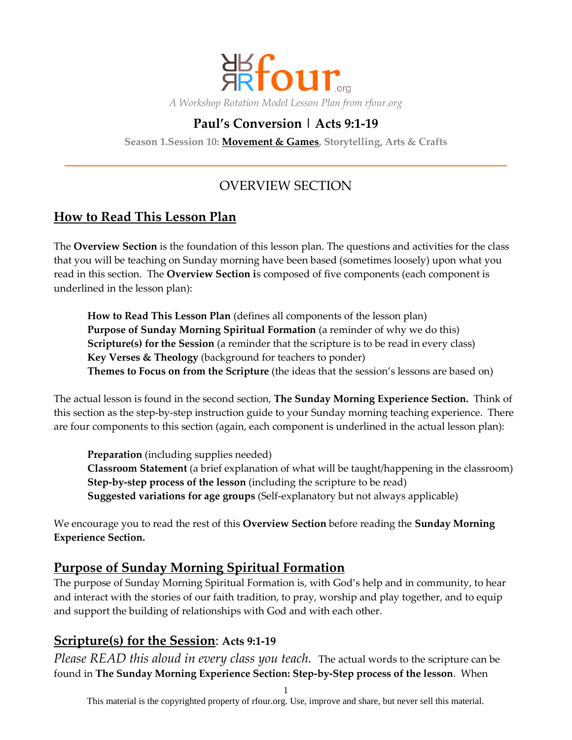

# **Paul's Conversion | Acts 9:1-19**

**Season 1.Session 10: Movement & Games, Storytelling, Arts & Crafts**

# OVERVIEW SECTION

# **How to Read This Lesson Plan**

The **Overview Section** is the foundation of this lesson plan. The questions and activities for the class that you will be teaching on Sunday morning have been based (sometimes loosely) upon what you read in this section. The **Overview Section i**s composed of five components (each component is underlined in the lesson plan):

**How to Read This Lesson Plan** (defines all components of the lesson plan) **Purpose of Sunday Morning Spiritual Formation** (a reminder of why we do this) **Scripture(s) for the Session** (a reminder that the scripture is to be read in every class) **Key Verses & Theology** (background for teachers to ponder) **Themes to Focus on from the Scripture** (the ideas that the session's lessons are based on)

The actual lesson is found in the second section, **The Sunday Morning Experience Section.** Think of this section as the step-by-step instruction guide to your Sunday morning teaching experience. There are four components to this section (again, each component is underlined in the actual lesson plan):

**Preparation** (including supplies needed) **Classroom Statement** (a brief explanation of what will be taught/happening in the classroom) **Step-by-step process of the lesson** (including the scripture to be read) **Suggested variations for age groups** (Self-explanatory but not always applicable)

We encourage you to read the rest of this **Overview Section** before reading the **Sunday Morning Experience Section.**

## **Purpose of Sunday Morning Spiritual Formation**

The purpose of Sunday Morning Spiritual Formation is, with God's help and in community, to hear and interact with the stories of our faith tradition, to pray, worship and play together, and to equip and support the building of relationships with God and with each other.

## **Scripture(s) for the Session**: **Acts 9:1-19**

*Please READ this aloud in every class you teach.* The actual words to the scripture can be found in **The Sunday Morning Experience Section: Step-by-Step process of the lesson**. When

1

This material is the copyrighted property of rfour.org. Use, improve and share, but never sell this material.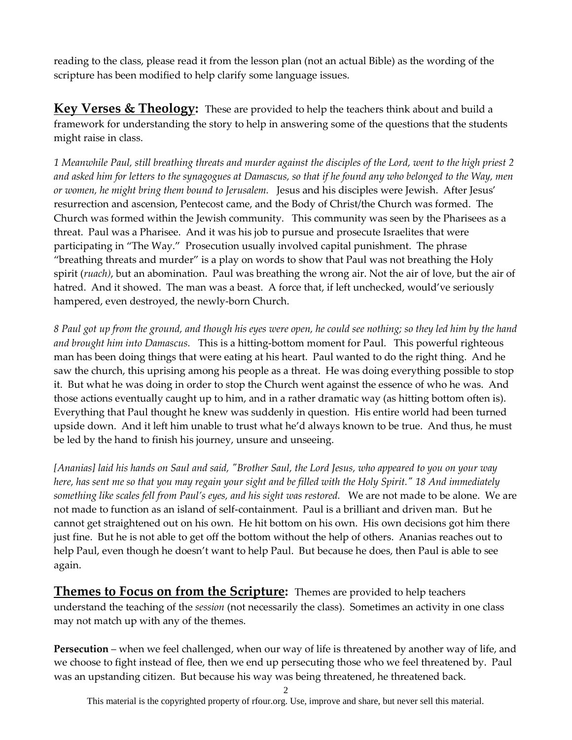reading to the class, please read it from the lesson plan (not an actual Bible) as the wording of the scripture has been modified to help clarify some language issues.

**Key Verses & Theology:** These are provided to help the teachers think about and build a framework for understanding the story to help in answering some of the questions that the students might raise in class.

*1 Meanwhile Paul, still breathing threats and murder against the disciples of the Lord, went to the high priest 2 and asked him for letters to the synagogues at Damascus, so that if he found any who belonged to the Way, men or women, he might bring them bound to Jerusalem.* Jesus and his disciples were Jewish. After Jesus' resurrection and ascension, Pentecost came, and the Body of Christ/the Church was formed. The Church was formed within the Jewish community. This community was seen by the Pharisees as a threat. Paul was a Pharisee. And it was his job to pursue and prosecute Israelites that were participating in "The Way." Prosecution usually involved capital punishment. The phrase "breathing threats and murder" is a play on words to show that Paul was not breathing the Holy spirit (*ruach)*, but an abomination. Paul was breathing the wrong air. Not the air of love, but the air of hatred. And it showed. The man was a beast. A force that, if left unchecked, would've seriously hampered, even destroyed, the newly-born Church.

*8 Paul got up from the ground, and though his eyes were open, he could see nothing; so they led him by the hand and brought him into Damascus.* This is a hitting-bottom moment for Paul. This powerful righteous man has been doing things that were eating at his heart. Paul wanted to do the right thing. And he saw the church, this uprising among his people as a threat. He was doing everything possible to stop it. But what he was doing in order to stop the Church went against the essence of who he was. And those actions eventually caught up to him, and in a rather dramatic way (as hitting bottom often is). Everything that Paul thought he knew was suddenly in question. His entire world had been turned upside down. And it left him unable to trust what he'd always known to be true. And thus, he must be led by the hand to finish his journey, unsure and unseeing.

*[Ananias] laid his hands on Saul and said, "Brother Saul, the Lord Jesus, who appeared to you on your way here, has sent me so that you may regain your sight and be filled with the Holy Spirit." 18 And immediately something like scales fell from Paul's eyes, and his sight was restored.* We are not made to be alone. We are not made to function as an island of self-containment. Paul is a brilliant and driven man. But he cannot get straightened out on his own. He hit bottom on his own. His own decisions got him there just fine. But he is not able to get off the bottom without the help of others. Ananias reaches out to help Paul, even though he doesn't want to help Paul. But because he does, then Paul is able to see again.

**Themes to Focus on from the Scripture:** Themes are provided to help teachers understand the teaching of the *session* (not necessarily the class). Sometimes an activity in one class may not match up with any of the themes.

**Persecution** – when we feel challenged, when our way of life is threatened by another way of life, and we choose to fight instead of flee, then we end up persecuting those who we feel threatened by. Paul was an upstanding citizen. But because his way was being threatened, he threatened back.

2

This material is the copyrighted property of rfour.org. Use, improve and share, but never sell this material.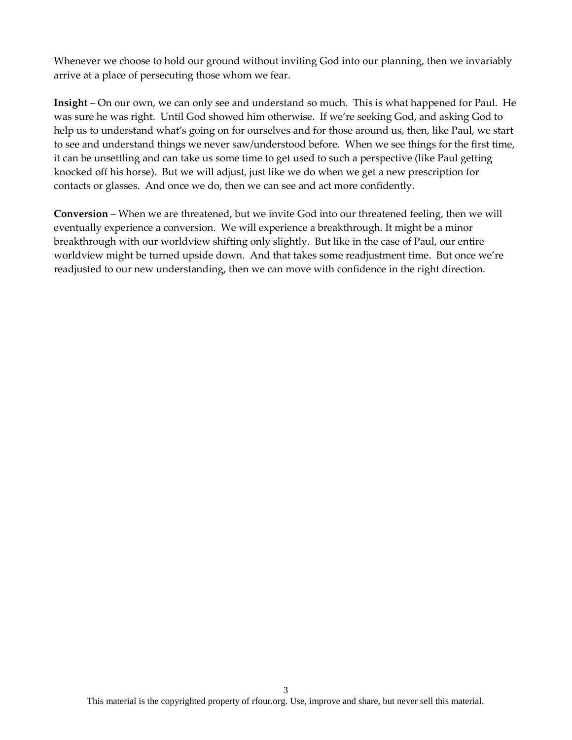Whenever we choose to hold our ground without inviting God into our planning, then we invariably arrive at a place of persecuting those whom we fear.

**Insight** – On our own, we can only see and understand so much. This is what happened for Paul. He was sure he was right. Until God showed him otherwise. If we're seeking God, and asking God to help us to understand what's going on for ourselves and for those around us, then, like Paul, we start to see and understand things we never saw/understood before. When we see things for the first time, it can be unsettling and can take us some time to get used to such a perspective (like Paul getting knocked off his horse). But we will adjust, just like we do when we get a new prescription for contacts or glasses. And once we do, then we can see and act more confidently.

**Conversion** – When we are threatened, but we invite God into our threatened feeling, then we will eventually experience a conversion. We will experience a breakthrough. It might be a minor breakthrough with our worldview shifting only slightly. But like in the case of Paul, our entire worldview might be turned upside down. And that takes some readjustment time. But once we're readjusted to our new understanding, then we can move with confidence in the right direction.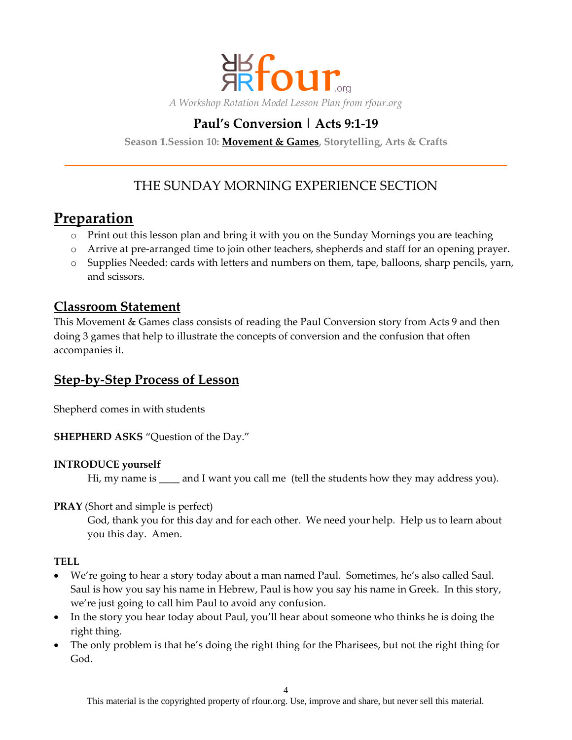

## **Paul's Conversion | Acts 9:1-19**

**Season 1.Session 10: Movement & Games, Storytelling, Arts & Crafts**

# THE SUNDAY MORNING EXPERIENCE SECTION

# **Preparation**

- o Print out this lesson plan and bring it with you on the Sunday Mornings you are teaching
- o Arrive at pre-arranged time to join other teachers, shepherds and staff for an opening prayer.
- o Supplies Needed: cards with letters and numbers on them, tape, balloons, sharp pencils, yarn, and scissors.

## **Classroom Statement**

This Movement & Games class consists of reading the Paul Conversion story from Acts 9 and then doing 3 games that help to illustrate the concepts of conversion and the confusion that often accompanies it.

## **Step-by-Step Process of Lesson**

Shepherd comes in with students

**SHEPHERD ASKS** "Question of the Day."

#### **INTRODUCE yourself**

Hi, my name is \_\_\_\_ and I want you call me (tell the students how they may address you).

**PRAY** (Short and simple is perfect)

God, thank you for this day and for each other. We need your help. Help us to learn about you this day. Amen.

#### **TELL**

- We're going to hear a story today about a man named Paul. Sometimes, he's also called Saul. Saul is how you say his name in Hebrew, Paul is how you say his name in Greek. In this story, we're just going to call him Paul to avoid any confusion.
- In the story you hear today about Paul, you'll hear about someone who thinks he is doing the right thing.
- The only problem is that he's doing the right thing for the Pharisees, but not the right thing for God.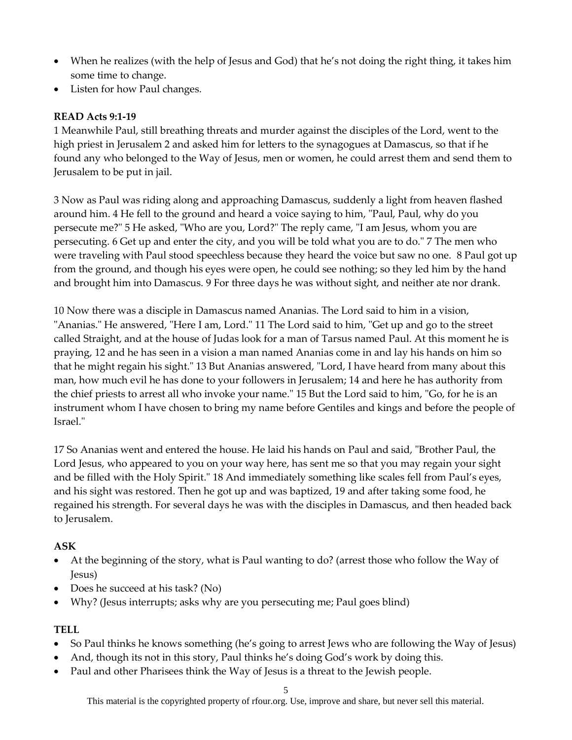- When he realizes (with the help of Jesus and God) that he's not doing the right thing, it takes him some time to change.
- Listen for how Paul changes.

#### **READ Acts 9:1-19**

1 Meanwhile Paul, still breathing threats and murder against the disciples of the Lord, went to the high priest in Jerusalem 2 and asked him for letters to the synagogues at Damascus, so that if he found any who belonged to the Way of Jesus, men or women, he could arrest them and send them to Jerusalem to be put in jail.

3 Now as Paul was riding along and approaching Damascus, suddenly a light from heaven flashed around him. 4 He fell to the ground and heard a voice saying to him, "Paul, Paul, why do you persecute me?" 5 He asked, "Who are you, Lord?" The reply came, "I am Jesus, whom you are persecuting. 6 Get up and enter the city, and you will be told what you are to do." 7 The men who were traveling with Paul stood speechless because they heard the voice but saw no one. 8 Paul got up from the ground, and though his eyes were open, he could see nothing; so they led him by the hand and brought him into Damascus. 9 For three days he was without sight, and neither ate nor drank.

10 Now there was a disciple in Damascus named Ananias. The Lord said to him in a vision, "Ananias." He answered, "Here I am, Lord." 11 The Lord said to him, "Get up and go to the street called Straight, and at the house of Judas look for a man of Tarsus named Paul. At this moment he is praying, 12 and he has seen in a vision a man named Ananias come in and lay his hands on him so that he might regain his sight." 13 But Ananias answered, "Lord, I have heard from many about this man, how much evil he has done to your followers in Jerusalem; 14 and here he has authority from the chief priests to arrest all who invoke your name." 15 But the Lord said to him, "Go, for he is an instrument whom I have chosen to bring my name before Gentiles and kings and before the people of Israel."

17 So Ananias went and entered the house. He laid his hands on Paul and said, "Brother Paul, the Lord Jesus, who appeared to you on your way here, has sent me so that you may regain your sight and be filled with the Holy Spirit." 18 And immediately something like scales fell from Paul's eyes, and his sight was restored. Then he got up and was baptized, 19 and after taking some food, he regained his strength. For several days he was with the disciples in Damascus, and then headed back to Jerusalem.

#### **ASK**

- At the beginning of the story, what is Paul wanting to do? (arrest those who follow the Way of Jesus)
- Does he succeed at his task? (No)
- Why? (Jesus interrupts; asks why are you persecuting me; Paul goes blind)

#### **TELL**

- So Paul thinks he knows something (he's going to arrest Jews who are following the Way of Jesus)
- And, though its not in this story, Paul thinks he's doing God's work by doing this.
- Paul and other Pharisees think the Way of Jesus is a threat to the Jewish people.

This material is the copyrighted property of rfour.org. Use, improve and share, but never sell this material.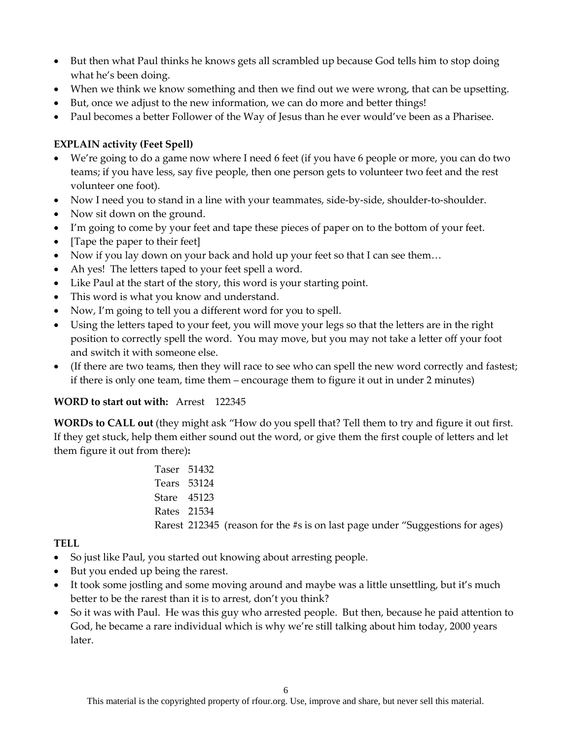- But then what Paul thinks he knows gets all scrambled up because God tells him to stop doing what he's been doing.
- When we think we know something and then we find out we were wrong, that can be upsetting.
- But, once we adjust to the new information, we can do more and better things!
- Paul becomes a better Follower of the Way of Jesus than he ever would've been as a Pharisee.

#### **EXPLAIN activity (Feet Spell)**

- We're going to do a game now where I need 6 feet (if you have 6 people or more, you can do two teams; if you have less, say five people, then one person gets to volunteer two feet and the rest volunteer one foot).
- Now I need you to stand in a line with your teammates, side-by-side, shoulder-to-shoulder.
- Now sit down on the ground.
- I'm going to come by your feet and tape these pieces of paper on to the bottom of your feet.
- [Tape the paper to their feet]
- Now if you lay down on your back and hold up your feet so that I can see them...
- Ah yes! The letters taped to your feet spell a word.
- Like Paul at the start of the story, this word is your starting point.
- This word is what you know and understand.
- Now, I'm going to tell you a different word for you to spell.
- Using the letters taped to your feet, you will move your legs so that the letters are in the right position to correctly spell the word. You may move, but you may not take a letter off your foot and switch it with someone else.
- (If there are two teams, then they will race to see who can spell the new word correctly and fastest; if there is only one team, time them – encourage them to figure it out in under 2 minutes)

#### **WORD to start out with:** Arrest 122345

**WORDs to CALL out** (they might ask "How do you spell that? Tell them to try and figure it out first. If they get stuck, help them either sound out the word, or give them the first couple of letters and let them figure it out from there)**:**

> Taser 51432 Tears 53124 Stare 45123 Rates 21534 Rarest 212345 (reason for the #s is on last page under "Suggestions for ages)

#### **TELL**

- So just like Paul, you started out knowing about arresting people.
- But you ended up being the rarest.
- It took some jostling and some moving around and maybe was a little unsettling, but it's much better to be the rarest than it is to arrest, don't you think?
- So it was with Paul. He was this guy who arrested people. But then, because he paid attention to God, he became a rare individual which is why we're still talking about him today, 2000 years later.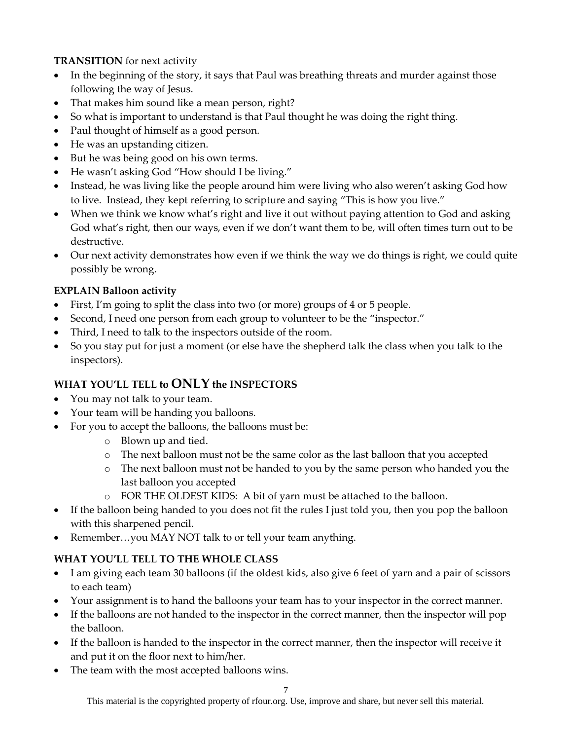#### **TRANSITION** for next activity

- In the beginning of the story, it says that Paul was breathing threats and murder against those following the way of Jesus.
- That makes him sound like a mean person, right?
- So what is important to understand is that Paul thought he was doing the right thing.
- Paul thought of himself as a good person.
- He was an upstanding citizen.
- But he was being good on his own terms.
- He wasn't asking God "How should I be living."
- Instead, he was living like the people around him were living who also weren't asking God how to live. Instead, they kept referring to scripture and saying "This is how you live."
- When we think we know what's right and live it out without paying attention to God and asking God what's right, then our ways, even if we don't want them to be, will often times turn out to be destructive.
- Our next activity demonstrates how even if we think the way we do things is right, we could quite possibly be wrong.

#### **EXPLAIN Balloon activity**

- First, I'm going to split the class into two (or more) groups of 4 or 5 people.
- Second, I need one person from each group to volunteer to be the "inspector."
- Third, I need to talk to the inspectors outside of the room.
- So you stay put for just a moment (or else have the shepherd talk the class when you talk to the inspectors).

## **WHAT YOU'LL TELL to ONLY the INSPECTORS**

- You may not talk to your team.
- Your team will be handing you balloons.
- For you to accept the balloons, the balloons must be:
	- o Blown up and tied.
	- o The next balloon must not be the same color as the last balloon that you accepted
	- o The next balloon must not be handed to you by the same person who handed you the last balloon you accepted
	- o FOR THE OLDEST KIDS: A bit of yarn must be attached to the balloon.
- If the balloon being handed to you does not fit the rules I just told you, then you pop the balloon with this sharpened pencil.
- Remember...you MAY NOT talk to or tell your team anything.

## **WHAT YOU'LL TELL TO THE WHOLE CLASS**

- I am giving each team 30 balloons (if the oldest kids, also give 6 feet of yarn and a pair of scissors to each team)
- Your assignment is to hand the balloons your team has to your inspector in the correct manner.
- If the balloons are not handed to the inspector in the correct manner, then the inspector will pop the balloon.
- If the balloon is handed to the inspector in the correct manner, then the inspector will receive it and put it on the floor next to him/her.
- The team with the most accepted balloons wins.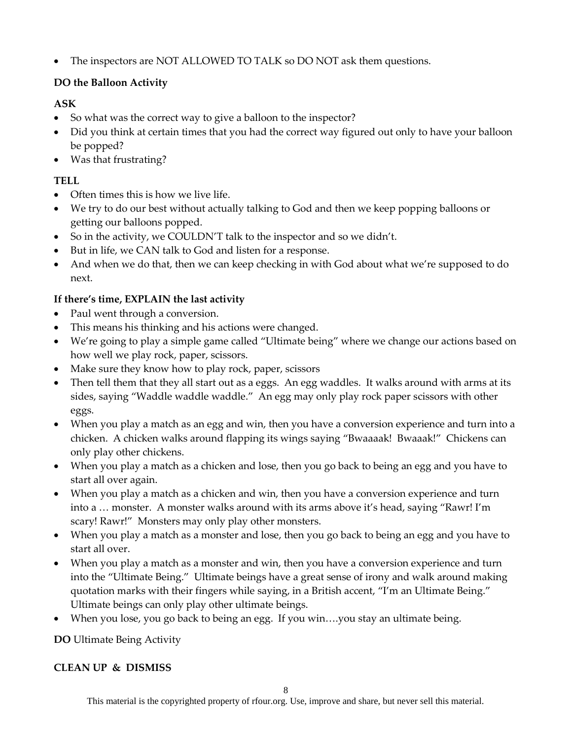The inspectors are NOT ALLOWED TO TALK so DO NOT ask them questions.

## **DO the Balloon Activity**

## **ASK**

- So what was the correct way to give a balloon to the inspector?
- Did you think at certain times that you had the correct way figured out only to have your balloon be popped?
- Was that frustrating?

## **TELL**

- Often times this is how we live life.
- We try to do our best without actually talking to God and then we keep popping balloons or getting our balloons popped.
- So in the activity, we COULDN'T talk to the inspector and so we didn't.
- But in life, we CAN talk to God and listen for a response.
- And when we do that, then we can keep checking in with God about what we're supposed to do next.

## **If there's time, EXPLAIN the last activity**

- Paul went through a conversion.
- This means his thinking and his actions were changed.
- We're going to play a simple game called "Ultimate being" where we change our actions based on how well we play rock, paper, scissors.
- Make sure they know how to play rock, paper, scissors
- Then tell them that they all start out as a eggs. An egg waddles. It walks around with arms at its sides, saying "Waddle waddle waddle." An egg may only play rock paper scissors with other eggs.
- When you play a match as an egg and win, then you have a conversion experience and turn into a chicken. A chicken walks around flapping its wings saying "Bwaaaak! Bwaaak!" Chickens can only play other chickens.
- When you play a match as a chicken and lose, then you go back to being an egg and you have to start all over again.
- When you play a match as a chicken and win, then you have a conversion experience and turn into a … monster. A monster walks around with its arms above it's head, saying "Rawr! I'm scary! Rawr!" Monsters may only play other monsters.
- When you play a match as a monster and lose, then you go back to being an egg and you have to start all over.
- When you play a match as a monster and win, then you have a conversion experience and turn into the "Ultimate Being." Ultimate beings have a great sense of irony and walk around making quotation marks with their fingers while saying, in a British accent, "I'm an Ultimate Being." Ultimate beings can only play other ultimate beings.
- When you lose, you go back to being an egg. If you win….you stay an ultimate being.

**DO** Ultimate Being Activity

## **CLEAN UP & DISMISS**